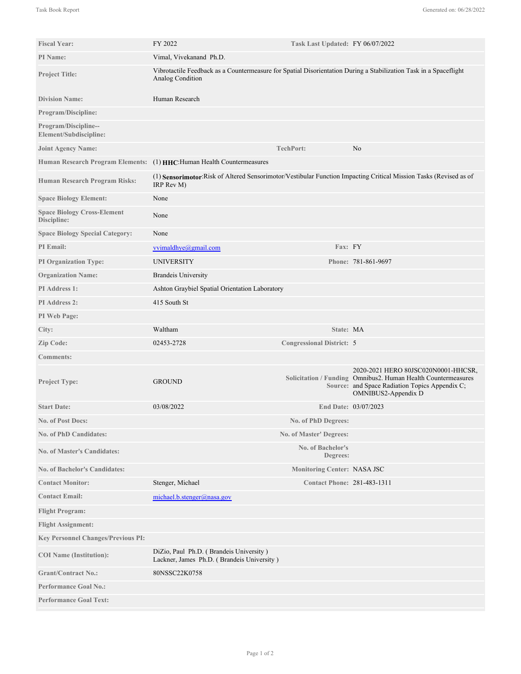| <b>Fiscal Year:</b>                               | FY 2022<br>Task Last Updated: FY 06/07/2022                                                                                           |                                    |                                                                                                                                                                               |
|---------------------------------------------------|---------------------------------------------------------------------------------------------------------------------------------------|------------------------------------|-------------------------------------------------------------------------------------------------------------------------------------------------------------------------------|
| PI Name:                                          | Vimal, Vivekanand Ph.D.                                                                                                               |                                    |                                                                                                                                                                               |
| <b>Project Title:</b>                             | Vibrotactile Feedback as a Countermeasure for Spatial Disorientation During a Stabilization Task in a Spaceflight<br>Analog Condition |                                    |                                                                                                                                                                               |
| <b>Division Name:</b>                             | Human Research                                                                                                                        |                                    |                                                                                                                                                                               |
| Program/Discipline:                               |                                                                                                                                       |                                    |                                                                                                                                                                               |
| Program/Discipline--<br>Element/Subdiscipline:    |                                                                                                                                       |                                    |                                                                                                                                                                               |
| <b>Joint Agency Name:</b>                         |                                                                                                                                       | <b>TechPort:</b>                   | No                                                                                                                                                                            |
|                                                   | Human Research Program Elements: (1) HHC: Human Health Countermeasures                                                                |                                    |                                                                                                                                                                               |
| Human Research Program Risks:                     | (1) Sensorimotor: Risk of Altered Sensorimotor/Vestibular Function Impacting Critical Mission Tasks (Revised as of<br>IRP Rev M)      |                                    |                                                                                                                                                                               |
| <b>Space Biology Element:</b>                     | None                                                                                                                                  |                                    |                                                                                                                                                                               |
| <b>Space Biology Cross-Element</b><br>Discipline: | None                                                                                                                                  |                                    |                                                                                                                                                                               |
| <b>Space Biology Special Category:</b>            | None                                                                                                                                  |                                    |                                                                                                                                                                               |
| PI Email:                                         | vvimaldhye@gmail.com                                                                                                                  | Fax: FY                            |                                                                                                                                                                               |
| <b>PI Organization Type:</b>                      | <b>UNIVERSITY</b>                                                                                                                     |                                    | Phone: 781-861-9697                                                                                                                                                           |
| <b>Organization Name:</b>                         | <b>Brandeis University</b>                                                                                                            |                                    |                                                                                                                                                                               |
| PI Address 1:                                     | Ashton Graybiel Spatial Orientation Laboratory                                                                                        |                                    |                                                                                                                                                                               |
| <b>PI</b> Address 2:                              | 415 South St                                                                                                                          |                                    |                                                                                                                                                                               |
| PI Web Page:                                      |                                                                                                                                       |                                    |                                                                                                                                                                               |
| City:                                             | Waltham                                                                                                                               | State: MA                          |                                                                                                                                                                               |
| Zip Code:                                         | 02453-2728                                                                                                                            | <b>Congressional District: 5</b>   |                                                                                                                                                                               |
| <b>Comments:</b>                                  |                                                                                                                                       |                                    |                                                                                                                                                                               |
| <b>Project Type:</b>                              | <b>GROUND</b>                                                                                                                         |                                    | 2020-2021 HERO 80JSC020N0001-HHCSR.<br>Solicitation / Funding Omnibus2. Human Health Countermeasures<br>Source: and Space Radiation Topics Appendix C;<br>OMNIBUS2-Appendix D |
| <b>Start Date:</b>                                | 03/08/2022                                                                                                                            |                                    | End Date: 03/07/2023                                                                                                                                                          |
| No. of Post Docs:                                 |                                                                                                                                       | No. of PhD Degrees:                |                                                                                                                                                                               |
| <b>No. of PhD Candidates:</b>                     |                                                                                                                                       | No. of Master' Degrees:            |                                                                                                                                                                               |
| <b>No. of Master's Candidates:</b>                |                                                                                                                                       | No. of Bachelor's<br>Degrees:      |                                                                                                                                                                               |
| <b>No. of Bachelor's Candidates:</b>              |                                                                                                                                       | Monitoring Center: NASA JSC        |                                                                                                                                                                               |
| <b>Contact Monitor:</b>                           | Stenger, Michael                                                                                                                      | <b>Contact Phone: 281-483-1311</b> |                                                                                                                                                                               |
| <b>Contact Email:</b>                             | michael.b.stenger@nasa.gov                                                                                                            |                                    |                                                                                                                                                                               |
| <b>Flight Program:</b>                            |                                                                                                                                       |                                    |                                                                                                                                                                               |
| <b>Flight Assignment:</b>                         |                                                                                                                                       |                                    |                                                                                                                                                                               |
| <b>Key Personnel Changes/Previous PI:</b>         |                                                                                                                                       |                                    |                                                                                                                                                                               |
| <b>COI</b> Name (Institution):                    | DiZio, Paul Ph.D. (Brandeis University)<br>Lackner, James Ph.D. (Brandeis University)                                                 |                                    |                                                                                                                                                                               |
| <b>Grant/Contract No.:</b>                        | 80NSSC22K0758                                                                                                                         |                                    |                                                                                                                                                                               |
| <b>Performance Goal No.:</b>                      |                                                                                                                                       |                                    |                                                                                                                                                                               |
| <b>Performance Goal Text:</b>                     |                                                                                                                                       |                                    |                                                                                                                                                                               |

Spaceflights can calculate many sensorimotor-related differing that could jeopardize a mission. For example, if as